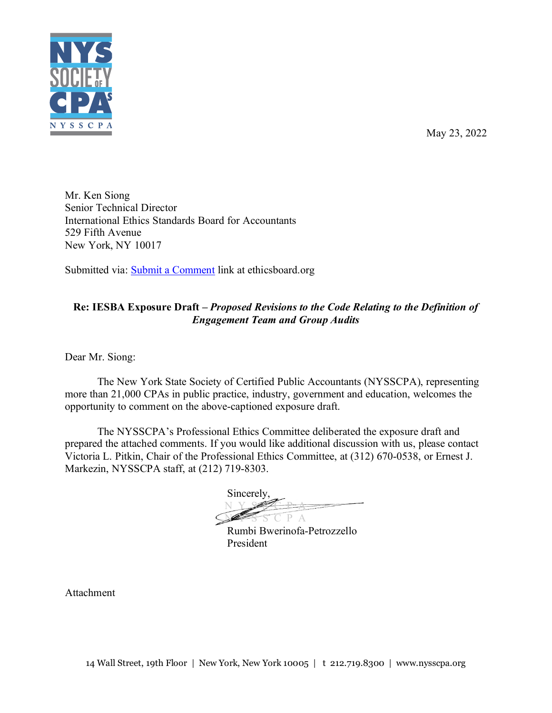

May 23, 2022

Mr. Ken Siong Senior Technical Director International Ethics Standards Board for Accountants 529 Fifth Avenue New York, NY 10017

Submitted via: [Submit a Comment](https://www.ethicsboard.org/exposure-draft/submit-comment?exposure-draft=292492) link at ethicsboard.org

### **Re: IESBA Exposure Draft –** *Proposed Revisions to the Code Relating to the Definition of Engagement Team and Group Audits*

Dear Mr. Siong:

The New York State Society of Certified Public Accountants (NYSSCPA), representing more than 21,000 CPAs in public practice, industry, government and education, welcomes the opportunity to comment on the above-captioned exposure draft.

The NYSSCPA's Professional Ethics Committee deliberated the exposure draft and prepared the attached comments. If you would like additional discussion with us, please contact Victoria L. Pitkin, Chair of the Professional Ethics Committee, at (312) 670-0538, or Ernest J. Markezin, NYSSCPA staff, at (212) 719-8303.

Sincerely, **N** Y S  $\frac{1}{2}$  $P A$ 

Rumbi Bwerinofa-Petrozzello President

Attachment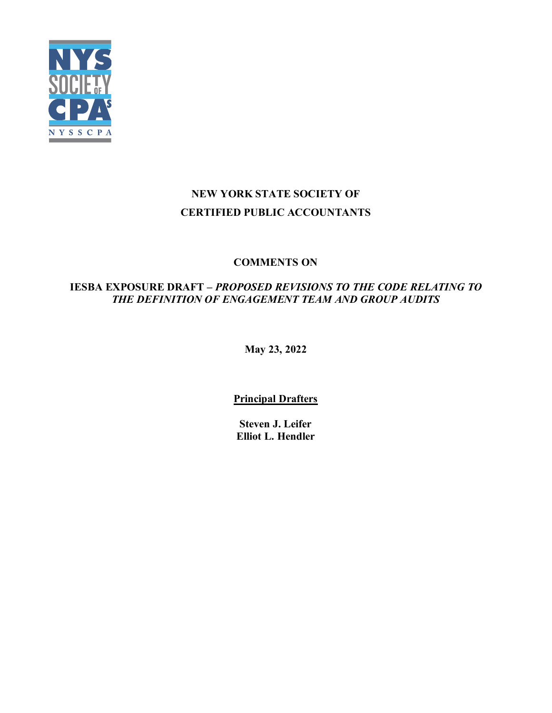

# **NEW YORK STATE SOCIETY OF CERTIFIED PUBLIC ACCOUNTANTS**

## **COMMENTS ON**

## **IESBA EXPOSURE DRAFT –** *PROPOSED REVISIONS TO THE CODE RELATING TO THE DEFINITION OF ENGAGEMENT TEAM AND GROUP AUDITS*

**May 23, 2022**

**Principal Drafters**

**Steven J. Leifer Elliot L. [Hendler](https://www.nysscpa.org/membership/member-directory?search=Hendler&firmname=Retired%20(no%20firm)&chapterid=200004)**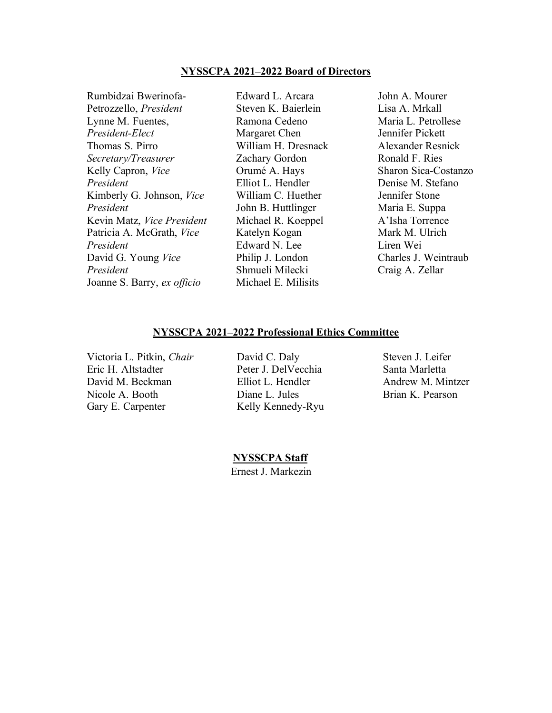#### **NYSSCPA 2021–2022 Board of Directors**

Rumbidzai Bwerinofa-Petrozzello, *President* Lynne M. Fuentes, *President-Elect* Thomas S. Pirro *Secretary/Treasurer* Kelly Capron, *Vice President* Kimberly G. Johnson, *Vice President* Kevin Matz, *Vice President* Patricia A. McGrath, *Vice President* David G. Young *Vice President* Joanne S. Barry, *ex officio* Michael E. Milisits

Edward L. Arcara Steven K. Baierlein Ramona Cedeno Margaret Chen William H. Dresnack Zachary Gordon Orumé A. Hays Elliot L. Hendler William C. Huether John B. Huttlinger Michael R. Koeppel Katelyn Kogan Edward N. Lee Philip J. London Shmueli Milecki

John A. Mourer Lisa A. Mrkall Maria L. Petrollese Jennifer Pickett Alexander Resnick Ronald F. Ries Sharon Sica-Costanzo Denise M. Stefano Jennifer Stone Maria E. Suppa A'Isha Torrence Mark M. Ulrich Liren Wei Charles J. Weintraub Craig A. Zellar

#### **NYSSCPA 2021–2022 Professional Ethics Committee**

Victoria L. Pitkin, *Chair* David C. Daly Steven J. Leifer Eric H. Altstadter Peter J. DelVecchia Santa Marletta David M. Beckman Elliot L. Hendler Andrew M. Mintzer Nicole A. Booth **Diane L. Jules** Brian K. Pearson Gary E. Carpenter Kelly Kennedy-Ryu

 **NYSSCPA Staff** Ernest J. Markezin